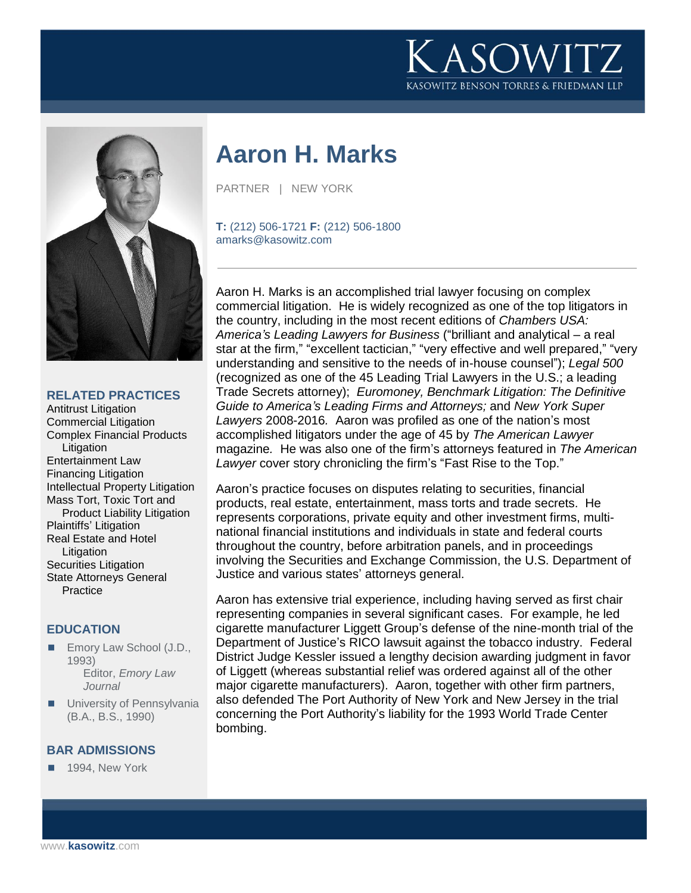



**RELATED PRACTICES**

Antitrust Litigation Commercial Litigation Complex Financial Products Litigation Entertainment Law Financing Litigation Intellectual Property Litigation Mass Tort, Toxic Tort and Product Liability Litigation Plaintiffs' Litigation Real Estate and Hotel Litigation Securities Litigation State Attorneys General **Practice** 

## **EDUCATION**

- Emory Law School (J.D., 1993) Editor, *Emory Law Journal*
- **University of Pennsylvania** (B.A., B.S., 1990)

#### **BAR ADMISSIONS**

1994, New York

# **Aaron H. Marks**

PARTNER | NEW YORK

**T:** (212) 506-1721 **F:** (212) 506-1800 amarks@kasowitz.com

Aaron H. Marks is an accomplished trial lawyer focusing on complex commercial litigation. He is widely recognized as one of the top litigators in the country, including in the most recent editions of *Chambers USA: America's Leading Lawyers for Business* ("brilliant and analytical – a real star at the firm," "excellent tactician," "very effective and well prepared," "very understanding and sensitive to the needs of in-house counsel"); *Legal 500*  (recognized as one of the 45 Leading Trial Lawyers in the U.S.; a leading Trade Secrets attorney); *Euromoney, Benchmark Litigation: The Definitive Guide to America's Leading Firms and Attorneys;* and *New York Super Lawyers* 2008-2016*.* Aaron was profiled as one of the nation's most accomplished litigators under the age of 45 by *The American Lawyer*  magazine*.* He was also one of the firm's attorneys featured in *The American Lawyer* cover story chronicling the firm's "Fast Rise to the Top."

Aaron's practice focuses on disputes relating to securities, financial products, real estate, entertainment, mass torts and trade secrets. He represents corporations, private equity and other investment firms, multinational financial institutions and individuals in state and federal courts throughout the country, before arbitration panels, and in proceedings involving the Securities and Exchange Commission, the U.S. Department of Justice and various states' attorneys general.

Aaron has extensive trial experience, including having served as first chair representing companies in several significant cases. For example, he led cigarette manufacturer Liggett Group's defense of the nine-month trial of the Department of Justice's RICO lawsuit against the tobacco industry. Federal District Judge Kessler issued a lengthy decision awarding judgment in favor of Liggett (whereas substantial relief was ordered against all of the other major cigarette manufacturers). Aaron, together with other firm partners, also defended The Port Authority of New York and New Jersey in the trial concerning the Port Authority's liability for the 1993 World Trade Center bombing.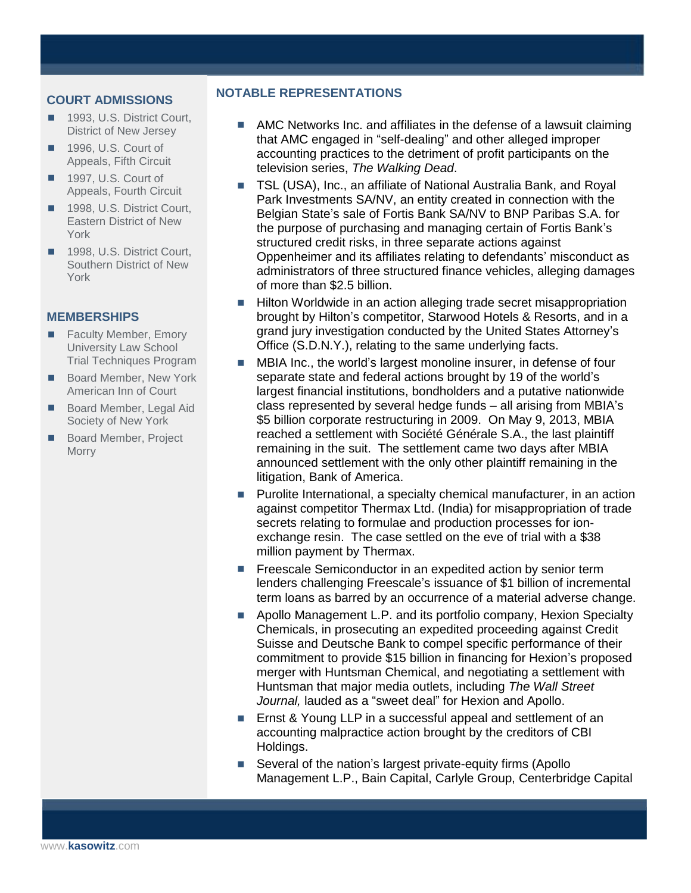#### **COURT ADMISSIONS**

- 1993, U.S. District Court, District of New Jersey
- 1996, U.S. Court of Appeals, Fifth Circuit
- 1997, U.S. Court of Appeals, Fourth Circuit
- 1998, U.S. District Court. Eastern District of New York
- 1998, U.S. District Court, Southern District of New York

#### **MEMBERSHIPS**

- **Faculty Member, Emory** University Law School Trial Techniques Program
- Board Member, New York American Inn of Court
- Board Member, Legal Aid Society of New York
- Board Member, Project **Morry**

#### **NOTABLE REPRESENTATIONS**

- **AMC Networks Inc. and affiliates in the defense of a lawsuit claiming** that AMC engaged in "self-dealing" and other alleged improper accounting practices to the detriment of profit participants on the television series, *The Walking Dead*.
- TSL (USA), Inc., an affiliate of National Australia Bank, and Royal Park Investments SA/NV, an entity created in connection with the Belgian State's sale of Fortis Bank SA/NV to BNP Paribas S.A. for the purpose of purchasing and managing certain of Fortis Bank's structured credit risks, in three separate actions against Oppenheimer and its affiliates relating to defendants' misconduct as administrators of three structured finance vehicles, alleging damages of more than \$2.5 billion.
- Hilton Worldwide in an action alleging trade secret misappropriation brought by Hilton's competitor, Starwood Hotels & Resorts, and in a grand jury investigation conducted by the United States Attorney's Office (S.D.N.Y.), relating to the same underlying facts.
- **MBIA Inc., the world's largest monoline insurer, in defense of four** separate state and federal actions brought by 19 of the world's largest financial institutions, bondholders and a putative nationwide class represented by several hedge funds – all arising from MBIA's \$5 billion corporate restructuring in 2009. On May 9, 2013, MBIA reached a settlement with Société Générale S.A., the last plaintiff remaining in the suit. The settlement came two days after MBIA announced settlement with the only other plaintiff remaining in the litigation, Bank of America.
- **Purolite International, a specialty chemical manufacturer, in an action** against competitor Thermax Ltd. (India) for misappropriation of trade secrets relating to formulae and production processes for ionexchange resin. The case settled on the eve of trial with a \$38 million payment by Thermax.
- Freescale Semiconductor in an expedited action by senior term lenders challenging Freescale's issuance of \$1 billion of incremental term loans as barred by an occurrence of a material adverse change.
- Apollo Management L.P. and its portfolio company, Hexion Specialty Chemicals, in prosecuting an expedited proceeding against Credit Suisse and Deutsche Bank to compel specific performance of their commitment to provide \$15 billion in financing for Hexion's proposed merger with Huntsman Chemical, and negotiating a settlement with Huntsman that major media outlets, including *The Wall Street Journal,* lauded as a "sweet deal" for Hexion and Apollo.
- Ernst & Young LLP in a successful appeal and settlement of an accounting malpractice action brought by the creditors of CBI Holdings.
- Several of the nation's largest private-equity firms (Apollo Management L.P., Bain Capital, Carlyle Group, Centerbridge Capital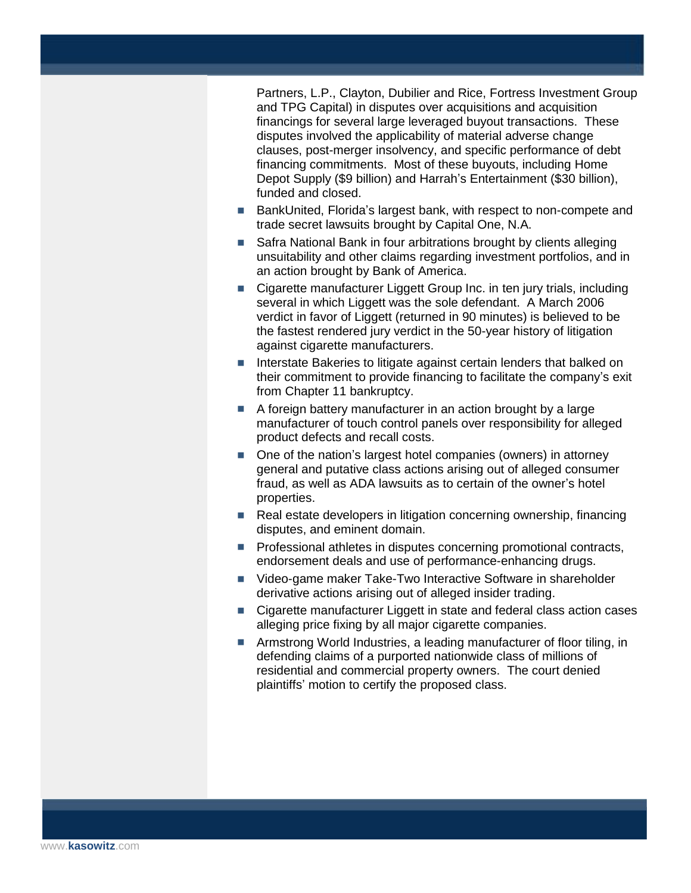Partners, L.P., Clayton, Dubilier and Rice, Fortress Investment Group and TPG Capital) in disputes over acquisitions and acquisition financings for several large leveraged buyout transactions. These disputes involved the applicability of material adverse change clauses, post-merger insolvency, and specific performance of debt financing commitments. Most of these buyouts, including Home Depot Supply (\$9 billion) and Harrah's Entertainment (\$30 billion), funded and closed.

- BankUnited, Florida's largest bank, with respect to non-compete and trade secret lawsuits brought by Capital One, N.A.
- Safra National Bank in four arbitrations brought by clients alleging unsuitability and other claims regarding investment portfolios, and in an action brought by Bank of America.
- Cigarette manufacturer Liggett Group Inc. in ten jury trials, including several in which Liggett was the sole defendant. A March 2006 verdict in favor of Liggett (returned in 90 minutes) is believed to be the fastest rendered jury verdict in the 50-year history of litigation against cigarette manufacturers.
- Interstate Bakeries to litigate against certain lenders that balked on their commitment to provide financing to facilitate the company's exit from Chapter 11 bankruptcy.
- A foreign battery manufacturer in an action brought by a large manufacturer of touch control panels over responsibility for alleged product defects and recall costs.
- One of the nation's largest hotel companies (owners) in attorney general and putative class actions arising out of alleged consumer fraud, as well as ADA lawsuits as to certain of the owner's hotel properties.
- Real estate developers in litigation concerning ownership, financing disputes, and eminent domain.
- **Professional athletes in disputes concerning promotional contracts,** endorsement deals and use of performance-enhancing drugs.
- Video-game maker Take-Two Interactive Software in shareholder derivative actions arising out of alleged insider trading.
- Cigarette manufacturer Liggett in state and federal class action cases alleging price fixing by all major cigarette companies.
- **E** Armstrong World Industries, a leading manufacturer of floor tiling, in defending claims of a purported nationwide class of millions of residential and commercial property owners. The court denied plaintiffs' motion to certify the proposed class.